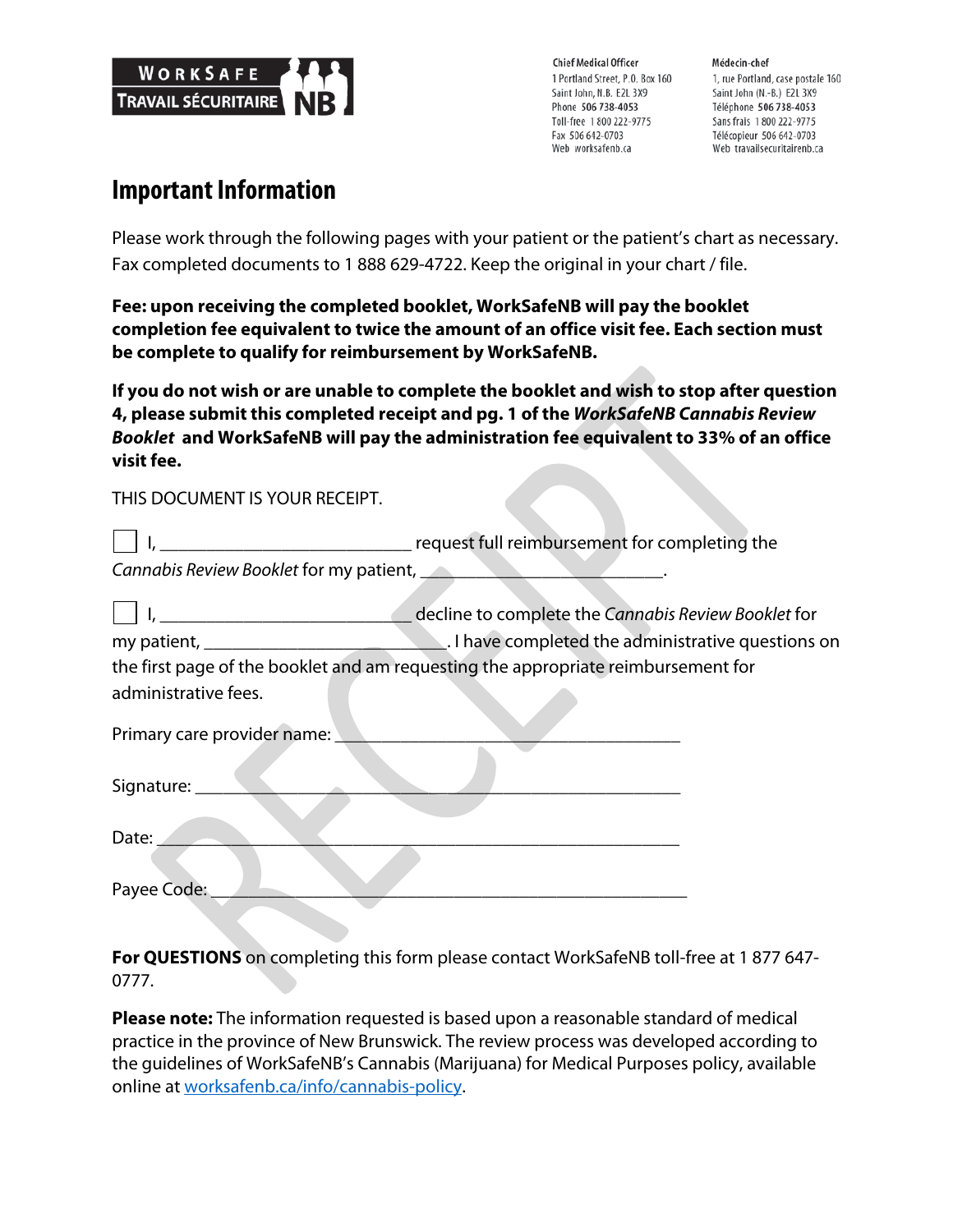

**Chief Medical Officer** 1 Portland Street, P.O. Box 160 Saint John, N.B. E2L 3X9 Phone 506 738-4053 Toll-free 1800 222-9775 Fax 506 642-0703 Web worksafenb.ca

Médecin-chef 1, rue Portland, case postale 160 Saint John (N.-B.) E2L 3X9 Téléphone 506 738-4053 Sans frais 1800 222-9775 Télécopieur 506 642-0703 Web travailsecuritairenb.ca

## **Important Information**

Please work through the following pages with your patient or the patient's chart as necessary. Fax completed documents to 1 888 629-4722. Keep the original in your chart / file.

**Fee: upon receiving the completed booklet, WorkSafeNB will pay the booklet completion fee equivalent to twice the amount of an office visit fee. Each section must be complete to qualify for reimbursement by WorkSafeNB.**

**If you do not wish or are unable to complete the booklet and wish to stop after question 4, please submit this completed receipt and pg. 1 of the** *WorkSafeNB Cannabis Review Booklet* **and WorkSafeNB will pay the administration fee equivalent to 33% of an office visit fee.**

THIS DOCUMENT IS YOUR RECEIPT.

|                                         | request full reimbursement for completing the                                     |
|-----------------------------------------|-----------------------------------------------------------------------------------|
| Cannabis Review Booklet for my patient, |                                                                                   |
|                                         | decline to complete the Cannabis Review Booklet for                               |
|                                         |                                                                                   |
|                                         | the first page of the booklet and am requesting the appropriate reimbursement for |
| administrative fees.                    |                                                                                   |
| Primary care provider name:             |                                                                                   |
| Signature:                              |                                                                                   |
| Date:                                   |                                                                                   |
| Payee Code:                             |                                                                                   |

**For QUESTIONS** on completing this form please contact WorkSafeNB toll-free at 1 877 647- 0777.

**Please note:** The information requested is based upon a reasonable standard of medical practice in the province of New Brunswick. The review process was developed according to the guidelines of WorkSafeNB's Cannabis (Marijuana) for Medical Purposes policy, available online at worksafenb.ca/info/cannabis-policy.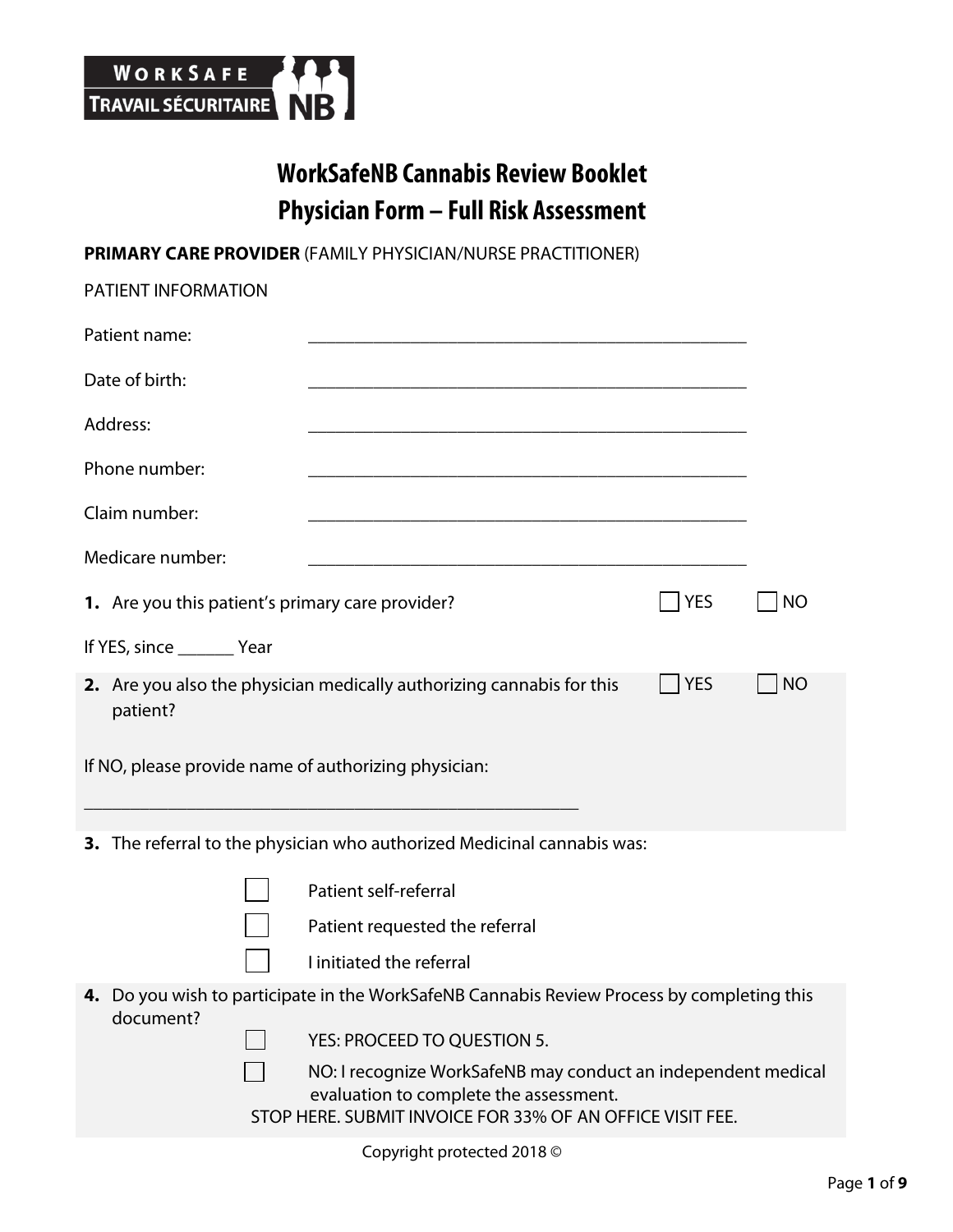

# **WorkSafeNB Cannabis Review Booklet Physician Form – Full Risk Assessment**

**PRIMARY CARE PROVIDER** (FAMILY PHYSICIAN/NURSE PRACTITIONER)

| <b>PATIENT INFORMATION</b>                           |                                                                                                         |            |           |
|------------------------------------------------------|---------------------------------------------------------------------------------------------------------|------------|-----------|
| Patient name:                                        |                                                                                                         |            |           |
| Date of birth:                                       | <u> 1989 - Johann Barn, amerikansk politiker (* 1908)</u>                                               |            |           |
| Address:                                             |                                                                                                         |            |           |
| Phone number:                                        |                                                                                                         |            |           |
| Claim number:                                        | <u> 2008 - Johann Amerikaanse kommunister († 2008)</u>                                                  |            |           |
| Medicare number:                                     |                                                                                                         |            |           |
| 1. Are you this patient's primary care provider?     |                                                                                                         | <b>YES</b> | <b>NO</b> |
| If YES, since _________ Year                         |                                                                                                         |            |           |
| patient?                                             | 2. Are you also the physician medically authorizing cannabis for this                                   | <b>YES</b> | <b>NO</b> |
| If NO, please provide name of authorizing physician: |                                                                                                         |            |           |
|                                                      | 3. The referral to the physician who authorized Medicinal cannabis was:                                 |            |           |
|                                                      | Patient self-referral                                                                                   |            |           |
|                                                      | Patient requested the referral                                                                          |            |           |
|                                                      | I initiated the referral                                                                                |            |           |
| document?                                            | 4. Do you wish to participate in the WorkSafeNB Cannabis Review Process by completing this              |            |           |
|                                                      | YES: PROCEED TO QUESTION 5.                                                                             |            |           |
|                                                      | NO: I recognize WorkSafeNB may conduct an independent medical<br>evaluation to complete the assessment. |            |           |
|                                                      | STOP HERE. SUBMIT INVOICE FOR 33% OF AN OFFICE VISIT FEE.                                               |            |           |

Copyright protected 2018 ©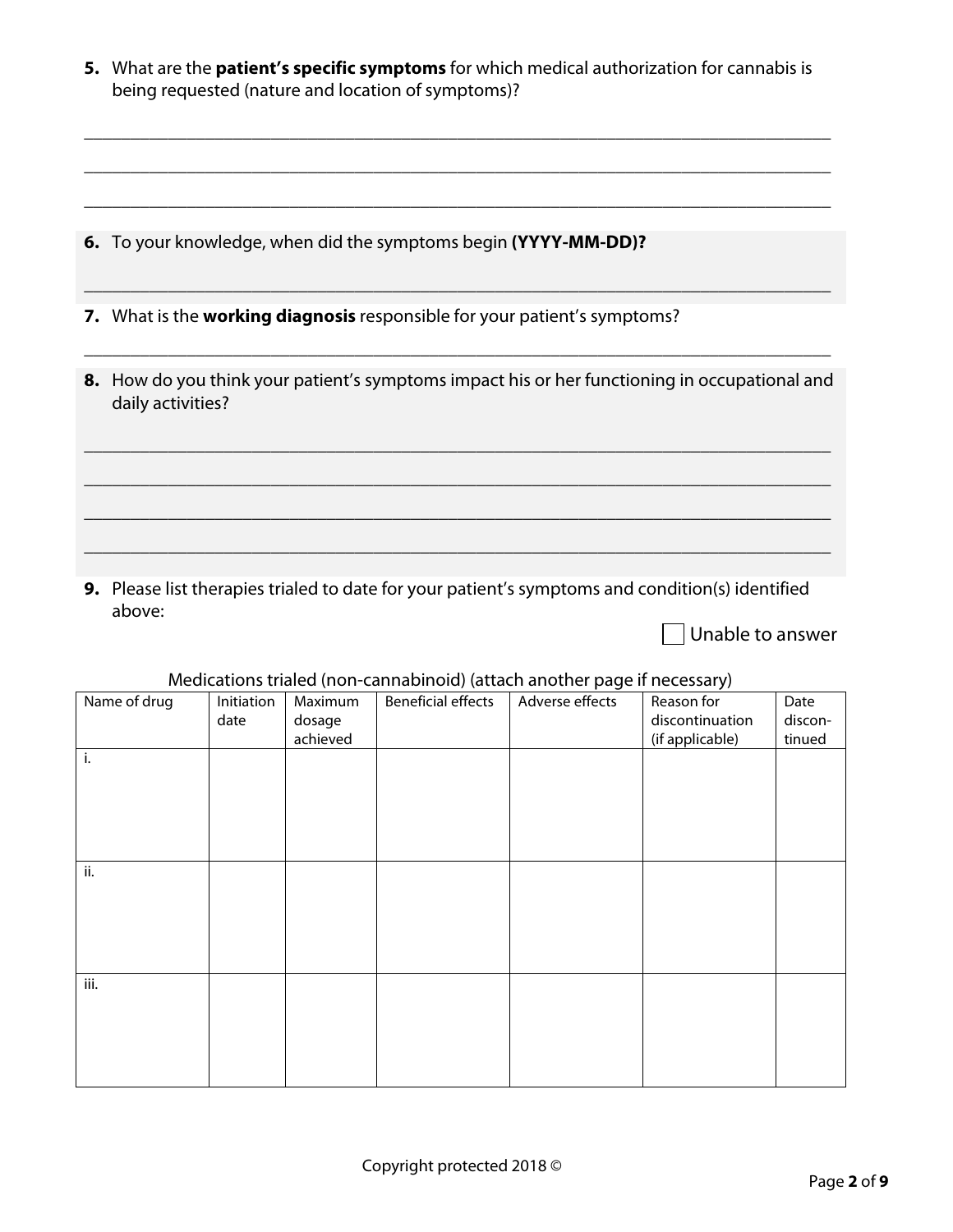| 5. What are the <b>patient's specific symptoms</b> for which medical authorization for cannabis is |
|----------------------------------------------------------------------------------------------------|
| being requested (nature and location of symptoms)?                                                 |

\_\_\_\_\_\_\_\_\_\_\_\_\_\_\_\_\_\_\_\_\_\_\_\_\_\_\_\_\_\_\_\_\_\_\_\_\_\_\_\_\_\_\_\_\_\_\_\_\_\_\_\_\_\_\_\_\_\_\_\_\_\_\_\_\_\_\_\_\_\_\_\_\_\_\_\_\_\_\_\_

\_\_\_\_\_\_\_\_\_\_\_\_\_\_\_\_\_\_\_\_\_\_\_\_\_\_\_\_\_\_\_\_\_\_\_\_\_\_\_\_\_\_\_\_\_\_\_\_\_\_\_\_\_\_\_\_\_\_\_\_\_\_\_\_\_\_\_\_\_\_\_\_\_\_\_\_\_\_\_\_

\_\_\_\_\_\_\_\_\_\_\_\_\_\_\_\_\_\_\_\_\_\_\_\_\_\_\_\_\_\_\_\_\_\_\_\_\_\_\_\_\_\_\_\_\_\_\_\_\_\_\_\_\_\_\_\_\_\_\_\_\_\_\_\_\_\_\_\_\_\_\_\_\_\_\_\_\_\_\_\_

\_\_\_\_\_\_\_\_\_\_\_\_\_\_\_\_\_\_\_\_\_\_\_\_\_\_\_\_\_\_\_\_\_\_\_\_\_\_\_\_\_\_\_\_\_\_\_\_\_\_\_\_\_\_\_\_\_\_\_\_\_\_\_\_\_\_\_\_\_\_\_\_\_\_\_\_\_\_\_\_

**6.** To your knowledge, when did the symptoms begin **(YYYY-MM-DD)?**

**7.** What is the **working diagnosis** responsible for your patient's symptoms?

**8.** How do you think your patient's symptoms impact his or her functioning in occupational and daily activities?

\_\_\_\_\_\_\_\_\_\_\_\_\_\_\_\_\_\_\_\_\_\_\_\_\_\_\_\_\_\_\_\_\_\_\_\_\_\_\_\_\_\_\_\_\_\_\_\_\_\_\_\_\_\_\_\_\_\_\_\_\_\_\_\_\_\_\_\_\_\_\_\_\_\_\_\_\_\_\_\_

\_\_\_\_\_\_\_\_\_\_\_\_\_\_\_\_\_\_\_\_\_\_\_\_\_\_\_\_\_\_\_\_\_\_\_\_\_\_\_\_\_\_\_\_\_\_\_\_\_\_\_\_\_\_\_\_\_\_\_\_\_\_\_\_\_\_\_\_\_\_\_\_\_\_\_\_\_\_\_\_

\_\_\_\_\_\_\_\_\_\_\_\_\_\_\_\_\_\_\_\_\_\_\_\_\_\_\_\_\_\_\_\_\_\_\_\_\_\_\_\_\_\_\_\_\_\_\_\_\_\_\_\_\_\_\_\_\_\_\_\_\_\_\_\_\_\_\_\_\_\_\_\_\_\_\_\_\_\_\_\_

\_\_\_\_\_\_\_\_\_\_\_\_\_\_\_\_\_\_\_\_\_\_\_\_\_\_\_\_\_\_\_\_\_\_\_\_\_\_\_\_\_\_\_\_\_\_\_\_\_\_\_\_\_\_\_\_\_\_\_\_\_\_\_\_\_\_\_\_\_\_\_\_\_\_\_\_\_\_\_\_

\_\_\_\_\_\_\_\_\_\_\_\_\_\_\_\_\_\_\_\_\_\_\_\_\_\_\_\_\_\_\_\_\_\_\_\_\_\_\_\_\_\_\_\_\_\_\_\_\_\_\_\_\_\_\_\_\_\_\_\_\_\_\_\_\_\_\_\_\_\_\_\_\_\_\_\_\_\_\_\_

**9.** Please list therapies trialed to date for your patient's symptoms and condition(s) identified above:

Unable to answer

|              | iviedications trialed (non-cannabilition) (attach another page in necessary) |          |                           |                 |                 |         |  |  |
|--------------|------------------------------------------------------------------------------|----------|---------------------------|-----------------|-----------------|---------|--|--|
| Name of drug | Initiation                                                                   | Maximum  | <b>Beneficial effects</b> | Adverse effects | Reason for      | Date    |  |  |
|              | date                                                                         | dosage   |                           |                 | discontinuation | discon- |  |  |
|              |                                                                              | achieved |                           |                 | (if applicable) | tinued  |  |  |
| i.           |                                                                              |          |                           |                 |                 |         |  |  |
|              |                                                                              |          |                           |                 |                 |         |  |  |
|              |                                                                              |          |                           |                 |                 |         |  |  |
|              |                                                                              |          |                           |                 |                 |         |  |  |
|              |                                                                              |          |                           |                 |                 |         |  |  |
|              |                                                                              |          |                           |                 |                 |         |  |  |
| ii.          |                                                                              |          |                           |                 |                 |         |  |  |
|              |                                                                              |          |                           |                 |                 |         |  |  |
|              |                                                                              |          |                           |                 |                 |         |  |  |
|              |                                                                              |          |                           |                 |                 |         |  |  |
|              |                                                                              |          |                           |                 |                 |         |  |  |
|              |                                                                              |          |                           |                 |                 |         |  |  |
|              |                                                                              |          |                           |                 |                 |         |  |  |
| iii.         |                                                                              |          |                           |                 |                 |         |  |  |
|              |                                                                              |          |                           |                 |                 |         |  |  |
|              |                                                                              |          |                           |                 |                 |         |  |  |
|              |                                                                              |          |                           |                 |                 |         |  |  |
|              |                                                                              |          |                           |                 |                 |         |  |  |
|              |                                                                              |          |                           |                 |                 |         |  |  |

#### Medications trialed (non-cannabinoid) (attach another page if necessary)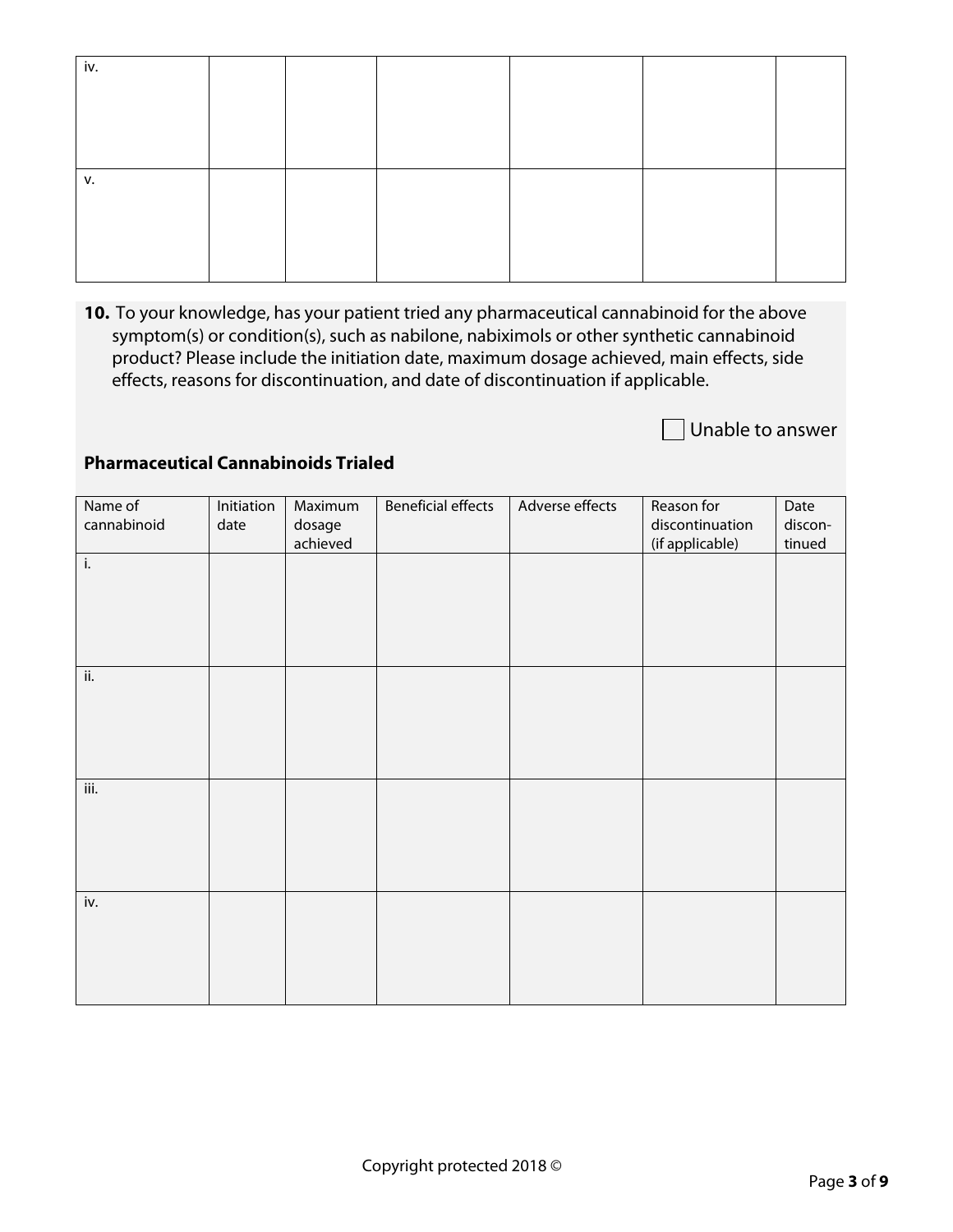| iv. |  |  |  |
|-----|--|--|--|
|     |  |  |  |
|     |  |  |  |
|     |  |  |  |
|     |  |  |  |
|     |  |  |  |
| v.  |  |  |  |
|     |  |  |  |
|     |  |  |  |
|     |  |  |  |

**10.** To your knowledge, has your patient tried any pharmaceutical cannabinoid for the above symptom(s) or condition(s), such as nabilone, nabiximols or other synthetic cannabinoid product? Please include the initiation date, maximum dosage achieved, main effects, side effects, reasons for discontinuation, and date of discontinuation if applicable.

Unable to answer

#### **Pharmaceutical Cannabinoids Trialed**

| Name of<br>cannabinoid     | Initiation<br>date | Maximum<br>dosage<br>achieved | <b>Beneficial effects</b> | Adverse effects | Reason for<br>discontinuation<br>(if applicable) | Date<br>discon-<br>tinued |
|----------------------------|--------------------|-------------------------------|---------------------------|-----------------|--------------------------------------------------|---------------------------|
| i.                         |                    |                               |                           |                 |                                                  |                           |
|                            |                    |                               |                           |                 |                                                  |                           |
| $\overline{\mathsf{ii}}$ . |                    |                               |                           |                 |                                                  |                           |
|                            |                    |                               |                           |                 |                                                  |                           |
|                            |                    |                               |                           |                 |                                                  |                           |
|                            |                    |                               |                           |                 |                                                  |                           |
| iii.                       |                    |                               |                           |                 |                                                  |                           |
|                            |                    |                               |                           |                 |                                                  |                           |
|                            |                    |                               |                           |                 |                                                  |                           |
| iv.                        |                    |                               |                           |                 |                                                  |                           |
|                            |                    |                               |                           |                 |                                                  |                           |
|                            |                    |                               |                           |                 |                                                  |                           |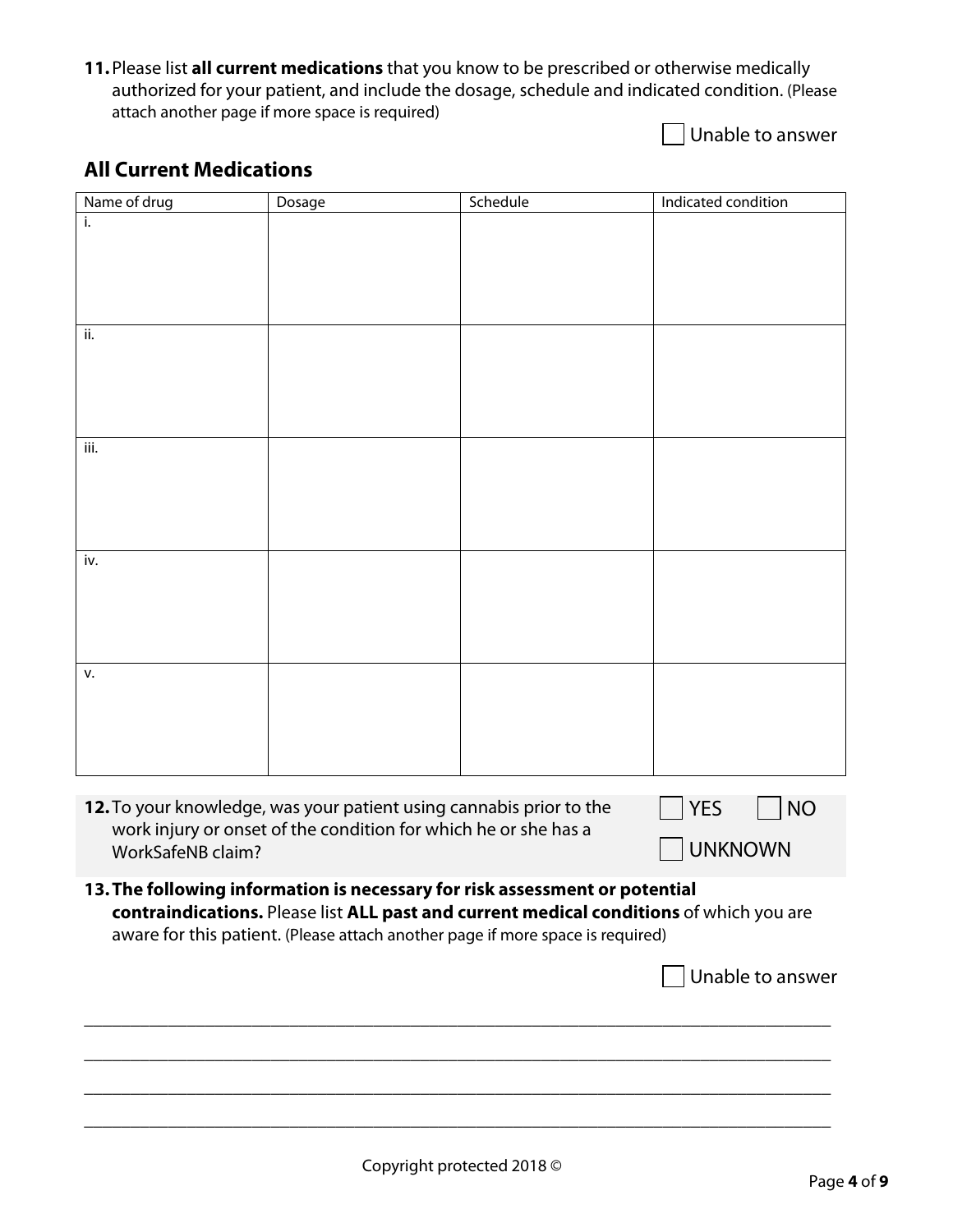**11.**Please list **all current medications** that you know to be prescribed or otherwise medically authorized for your patient, and include the dosage, schedule and indicated condition. (Please attach another page if more space is required)

Unable to answer

### **All Current Medications**

| Name of drug             | Dosage                                                                                  | Schedule | Indicated condition     |
|--------------------------|-----------------------------------------------------------------------------------------|----------|-------------------------|
| i.                       |                                                                                         |          |                         |
|                          |                                                                                         |          |                         |
|                          |                                                                                         |          |                         |
|                          |                                                                                         |          |                         |
| ii.                      |                                                                                         |          |                         |
|                          |                                                                                         |          |                         |
|                          |                                                                                         |          |                         |
|                          |                                                                                         |          |                         |
|                          |                                                                                         |          |                         |
| iii.                     |                                                                                         |          |                         |
|                          |                                                                                         |          |                         |
|                          |                                                                                         |          |                         |
|                          |                                                                                         |          |                         |
| iv.                      |                                                                                         |          |                         |
|                          |                                                                                         |          |                         |
|                          |                                                                                         |          |                         |
|                          |                                                                                         |          |                         |
|                          |                                                                                         |          |                         |
| v.                       |                                                                                         |          |                         |
|                          |                                                                                         |          |                         |
|                          |                                                                                         |          |                         |
|                          |                                                                                         |          |                         |
|                          |                                                                                         |          |                         |
|                          | 12. To your knowledge, was your patient using cannabis prior to the                     |          | <b>YES</b><br><b>NO</b> |
| <b>WorkSafeNB claim?</b> | work injury or onset of the condition for which he or she has a                         |          | <b>UNKNOWN</b>          |
|                          |                                                                                         |          |                         |
|                          | 13. The following information is necessary for risk assessment or potential             |          |                         |
|                          | contraindications. Please list ALL past and current medical conditions of which you are |          |                         |
|                          | aware for this patient. (Please attach another page if more space is required)          |          |                         |
|                          |                                                                                         |          | Unable to answer        |
|                          |                                                                                         |          |                         |
|                          |                                                                                         |          |                         |
|                          |                                                                                         |          |                         |
|                          |                                                                                         |          |                         |
|                          |                                                                                         |          |                         |

\_\_\_\_\_\_\_\_\_\_\_\_\_\_\_\_\_\_\_\_\_\_\_\_\_\_\_\_\_\_\_\_\_\_\_\_\_\_\_\_\_\_\_\_\_\_\_\_\_\_\_\_\_\_\_\_\_\_\_\_\_\_\_\_\_\_\_\_\_\_\_\_\_\_\_\_\_\_\_\_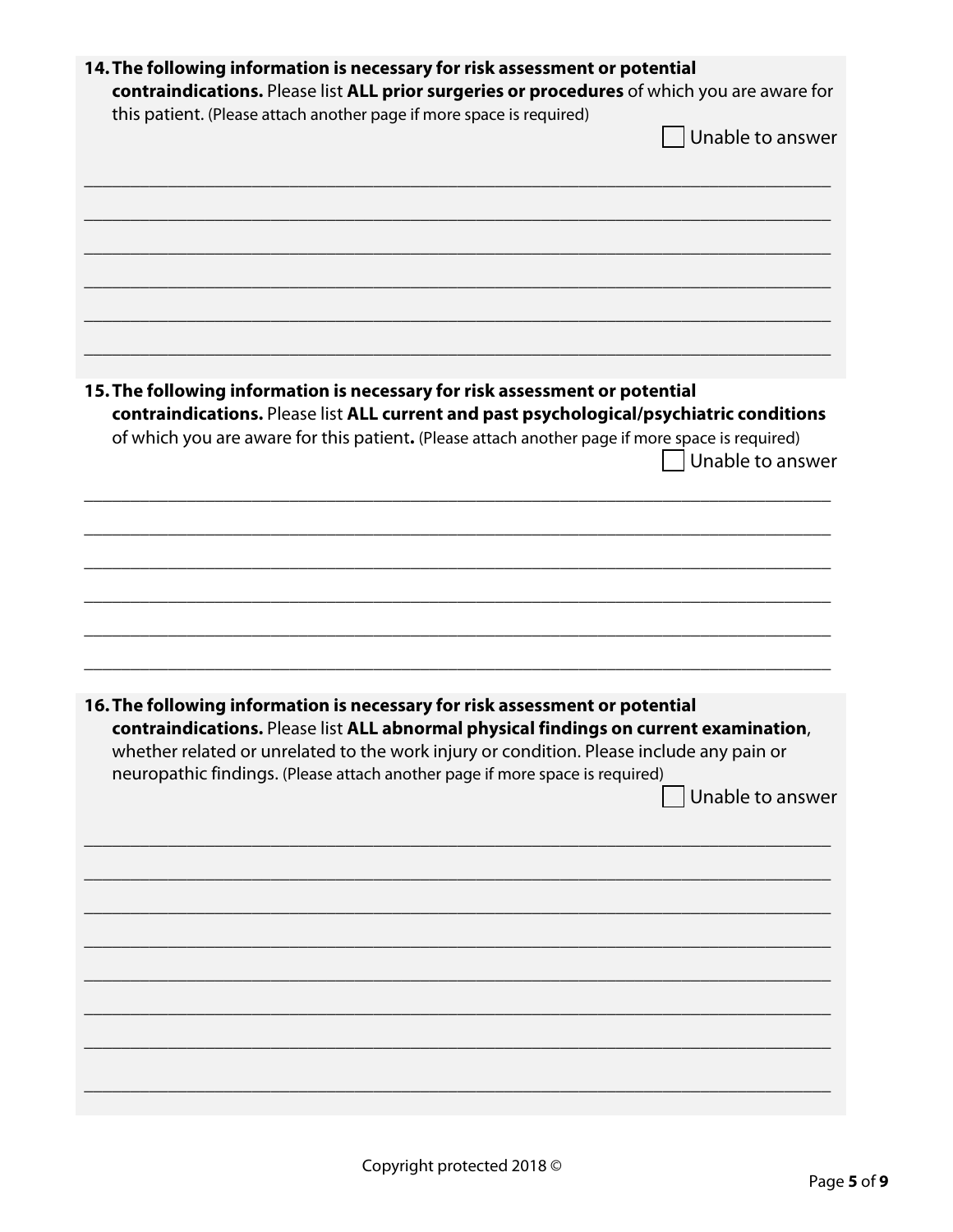| 14. The following information is necessary for risk assessment or potential<br>contraindications. Please list ALL prior surgeries or procedures of which you are aware for |                  |
|----------------------------------------------------------------------------------------------------------------------------------------------------------------------------|------------------|
|                                                                                                                                                                            |                  |
| this patient. (Please attach another page if more space is required)                                                                                                       |                  |
|                                                                                                                                                                            | Unable to answer |
|                                                                                                                                                                            |                  |
|                                                                                                                                                                            |                  |
|                                                                                                                                                                            |                  |
|                                                                                                                                                                            |                  |
|                                                                                                                                                                            |                  |
|                                                                                                                                                                            |                  |
|                                                                                                                                                                            |                  |
|                                                                                                                                                                            |                  |
|                                                                                                                                                                            |                  |
|                                                                                                                                                                            |                  |
|                                                                                                                                                                            |                  |
|                                                                                                                                                                            |                  |
| 15. The following information is necessary for risk assessment or potential                                                                                                |                  |
| contraindications. Please list ALL current and past psychological/psychiatric conditions                                                                                   |                  |
| of which you are aware for this patient. (Please attach another page if more space is required)                                                                            |                  |
|                                                                                                                                                                            | Unable to answer |
|                                                                                                                                                                            |                  |
|                                                                                                                                                                            |                  |
|                                                                                                                                                                            |                  |
|                                                                                                                                                                            |                  |
|                                                                                                                                                                            |                  |
|                                                                                                                                                                            |                  |
|                                                                                                                                                                            |                  |
|                                                                                                                                                                            |                  |
|                                                                                                                                                                            |                  |
|                                                                                                                                                                            |                  |
|                                                                                                                                                                            |                  |
|                                                                                                                                                                            |                  |
| 16. The following information is necessary for risk assessment or potential                                                                                                |                  |
|                                                                                                                                                                            |                  |
| contraindications. Please list ALL abnormal physical findings on current examination,                                                                                      |                  |
| whether related or unrelated to the work injury or condition. Please include any pain or                                                                                   |                  |
| neuropathic findings. (Please attach another page if more space is required)                                                                                               |                  |
|                                                                                                                                                                            | Unable to answer |
|                                                                                                                                                                            |                  |
|                                                                                                                                                                            |                  |
|                                                                                                                                                                            |                  |
|                                                                                                                                                                            |                  |
|                                                                                                                                                                            |                  |
|                                                                                                                                                                            |                  |
|                                                                                                                                                                            |                  |
|                                                                                                                                                                            |                  |
|                                                                                                                                                                            |                  |
|                                                                                                                                                                            |                  |
|                                                                                                                                                                            |                  |
|                                                                                                                                                                            |                  |
|                                                                                                                                                                            |                  |
|                                                                                                                                                                            |                  |
|                                                                                                                                                                            |                  |
|                                                                                                                                                                            |                  |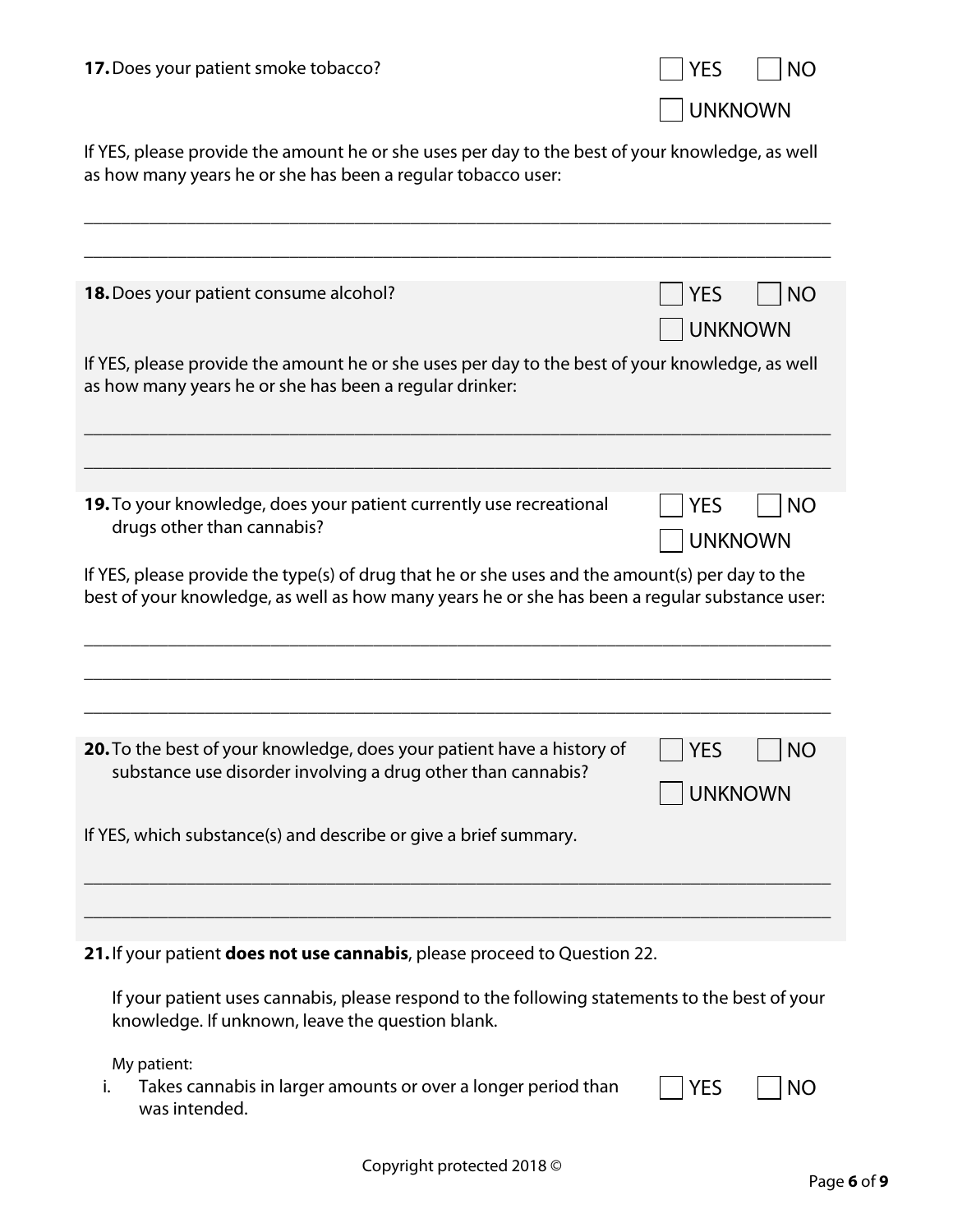| 17. Does your patient smoke tobacco?                                                                                                                                                              | <b>YES</b><br><b>NO</b>                   |
|---------------------------------------------------------------------------------------------------------------------------------------------------------------------------------------------------|-------------------------------------------|
|                                                                                                                                                                                                   | <b>UNKNOWN</b>                            |
| If YES, please provide the amount he or she uses per day to the best of your knowledge, as well<br>as how many years he or she has been a regular tobacco user:                                   |                                           |
|                                                                                                                                                                                                   |                                           |
| <b>18.</b> Does your patient consume alcohol?                                                                                                                                                     | <b>YES</b><br><b>NO</b><br><b>UNKNOWN</b> |
| If YES, please provide the amount he or she uses per day to the best of your knowledge, as well<br>as how many years he or she has been a regular drinker:                                        |                                           |
| 19. To your knowledge, does your patient currently use recreational                                                                                                                               | <b>NO</b><br><b>YES</b>                   |
| drugs other than cannabis?                                                                                                                                                                        | <b>UNKNOWN</b>                            |
| If YES, please provide the type(s) of drug that he or she uses and the amount(s) per day to the<br>best of your knowledge, as well as how many years he or she has been a regular substance user: |                                           |
|                                                                                                                                                                                                   |                                           |
| 20. To the best of your knowledge, does your patient have a history of<br>substance use disorder involving a drug other than cannabis?                                                            | YES<br>$\Box$ NO<br><b>UNKNOWN</b>        |
| If YES, which substance(s) and describe or give a brief summary.                                                                                                                                  |                                           |
|                                                                                                                                                                                                   |                                           |
| 21. If your patient does not use cannabis, please proceed to Question 22.                                                                                                                         |                                           |
| If your patient uses cannabis, please respond to the following statements to the best of your<br>knowledge. If unknown, leave the question blank.                                                 |                                           |

My patient:

i. Takes cannabis in larger amounts or over a longer period than was intended.  $\neg$  YES  $\neg$  NO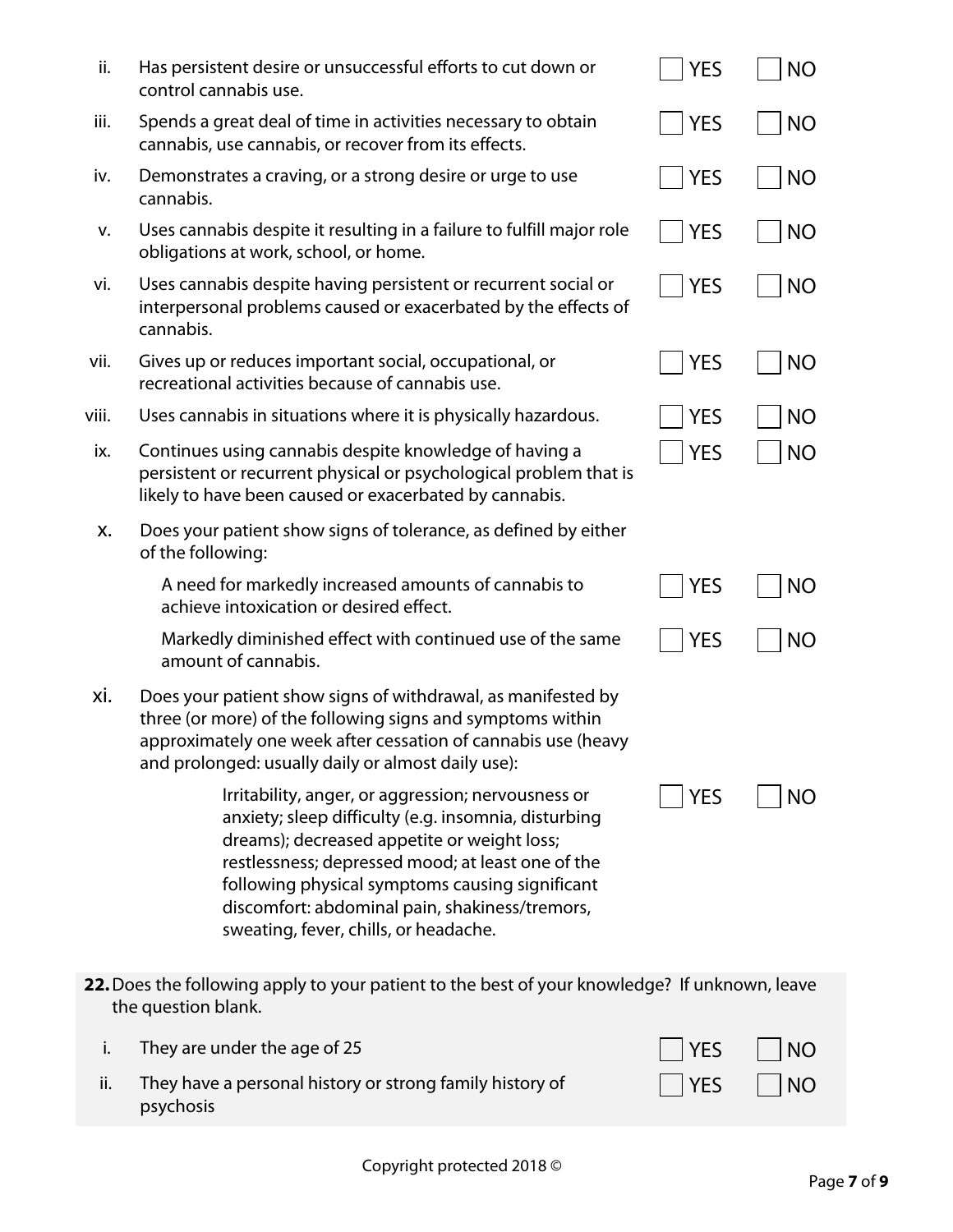| ii.   | Has persistent desire or unsuccessful efforts to cut down or<br>control cannabis use.                                                                                                                                                                                                                                                                        | <b>YES</b> | <b>NO</b> |
|-------|--------------------------------------------------------------------------------------------------------------------------------------------------------------------------------------------------------------------------------------------------------------------------------------------------------------------------------------------------------------|------------|-----------|
| iii.  | Spends a great deal of time in activities necessary to obtain<br>cannabis, use cannabis, or recover from its effects.                                                                                                                                                                                                                                        | <b>YES</b> | <b>NO</b> |
| iv.   | Demonstrates a craving, or a strong desire or urge to use<br>cannabis.                                                                                                                                                                                                                                                                                       | <b>YES</b> | <b>NO</b> |
| v.    | Uses cannabis despite it resulting in a failure to fulfill major role<br>obligations at work, school, or home.                                                                                                                                                                                                                                               | <b>YES</b> | <b>NO</b> |
| vi.   | Uses cannabis despite having persistent or recurrent social or<br>interpersonal problems caused or exacerbated by the effects of<br>cannabis.                                                                                                                                                                                                                | <b>YES</b> | <b>NO</b> |
| vii.  | Gives up or reduces important social, occupational, or<br>recreational activities because of cannabis use.                                                                                                                                                                                                                                                   | <b>YES</b> | <b>NO</b> |
| viii. | Uses cannabis in situations where it is physically hazardous.                                                                                                                                                                                                                                                                                                | <b>YES</b> | <b>NO</b> |
| ix.   | Continues using cannabis despite knowledge of having a<br>persistent or recurrent physical or psychological problem that is<br>likely to have been caused or exacerbated by cannabis.                                                                                                                                                                        | <b>YES</b> | <b>NO</b> |
| X.    | Does your patient show signs of tolerance, as defined by either<br>of the following:                                                                                                                                                                                                                                                                         |            |           |
|       | A need for markedly increased amounts of cannabis to<br>achieve intoxication or desired effect.                                                                                                                                                                                                                                                              | <b>YES</b> | <b>NO</b> |
|       | Markedly diminished effect with continued use of the same<br>amount of cannabis.                                                                                                                                                                                                                                                                             | <b>YES</b> | <b>NO</b> |
| xi.   | Does your patient show signs of withdrawal, as manifested by<br>three (or more) of the following signs and symptoms within<br>approximately one week after cessation of cannabis use (heavy<br>and prolonged: usually daily or almost daily use):                                                                                                            |            |           |
|       | Irritability, anger, or aggression; nervousness or<br>anxiety; sleep difficulty (e.g. insomnia, disturbing<br>dreams); decreased appetite or weight loss;<br>restlessness; depressed mood; at least one of the<br>following physical symptoms causing significant<br>discomfort: abdominal pain, shakiness/tremors,<br>sweating, fever, chills, or headache. | YES        | ΝO        |
|       | 22. Does the following apply to your patient to the best of your knowledge? If unknown, leave<br>the question blank.                                                                                                                                                                                                                                         |            |           |
| i.    | They are under the age of 25                                                                                                                                                                                                                                                                                                                                 | YES        | <b>NO</b> |
| ii.   | They have a personal history or strong family history of<br>psychosis                                                                                                                                                                                                                                                                                        | YES        | <b>NO</b> |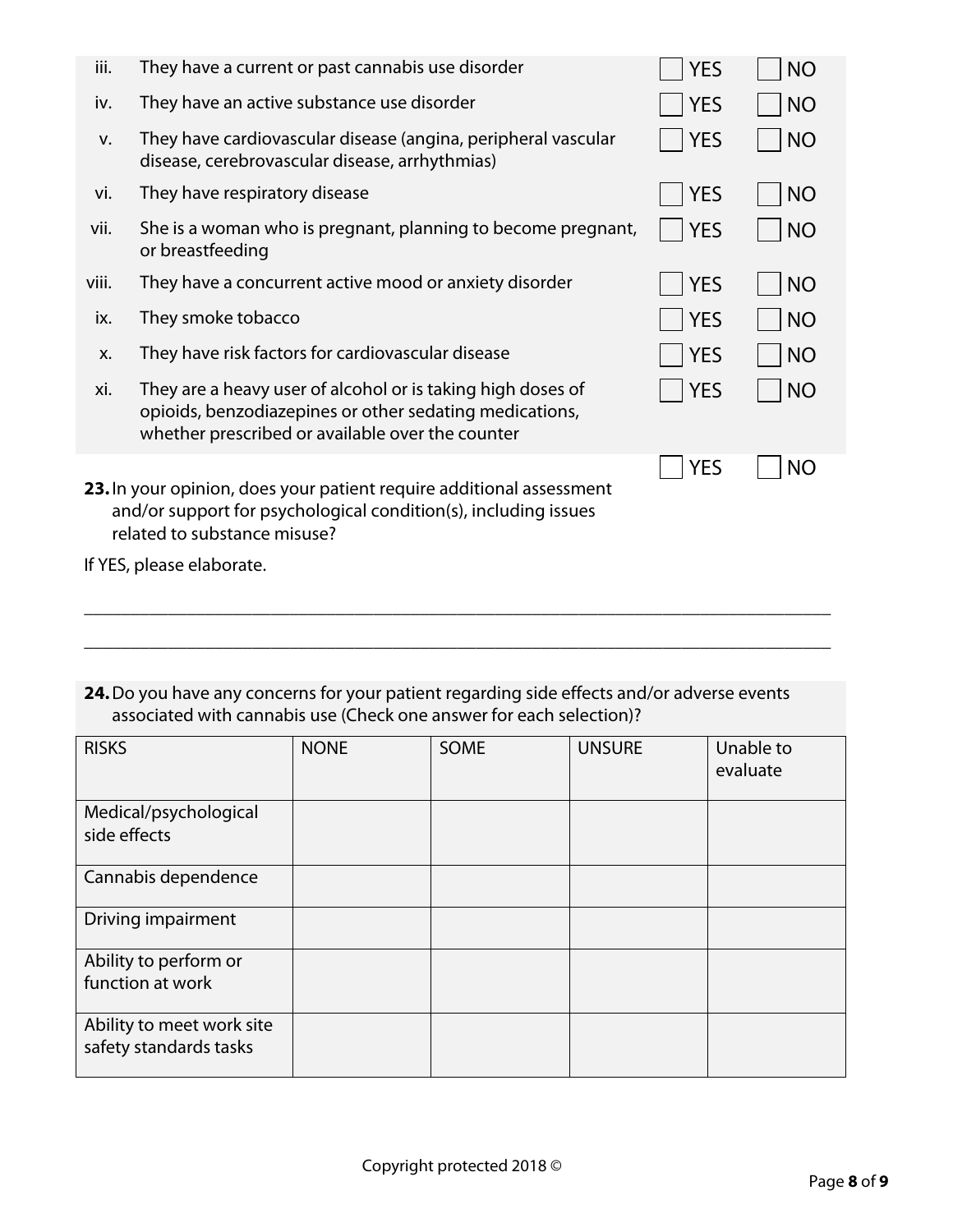| iii.  | They have a current or past cannabis use disorder                                                                                                                          | <b>YES</b> | <b>NO</b> |
|-------|----------------------------------------------------------------------------------------------------------------------------------------------------------------------------|------------|-----------|
| iv.   | They have an active substance use disorder                                                                                                                                 | <b>YES</b> | <b>NO</b> |
| v.    | They have cardiovascular disease (angina, peripheral vascular<br>disease, cerebrovascular disease, arrhythmias)                                                            | <b>YES</b> | <b>NO</b> |
| vi.   | They have respiratory disease                                                                                                                                              | <b>YES</b> | <b>NO</b> |
| vii.  | She is a woman who is pregnant, planning to become pregnant,<br>or breastfeeding                                                                                           | <b>YES</b> | <b>NO</b> |
| viii. | They have a concurrent active mood or anxiety disorder                                                                                                                     | <b>YES</b> | <b>NO</b> |
| ix.   | They smoke tobacco                                                                                                                                                         | <b>YES</b> | <b>NO</b> |
| X.    | They have risk factors for cardiovascular disease                                                                                                                          | <b>YES</b> | <b>NO</b> |
| xi.   | They are a heavy user of alcohol or is taking high doses of<br>opioids, benzodiazepines or other sedating medications,<br>whether prescribed or available over the counter | <b>YES</b> | <b>NO</b> |
|       | 23. In your opinion, does your patient require additional assessment<br>and/or support for psychological condition(s), including issues<br>related to substance misuse?    | <b>YES</b> | NO        |

- If YES, please elaborate.
- **24.**Do you have any concerns for your patient regarding side effects and/or adverse events associated with cannabis use (Check one answer for each selection)?

\_\_\_\_\_\_\_\_\_\_\_\_\_\_\_\_\_\_\_\_\_\_\_\_\_\_\_\_\_\_\_\_\_\_\_\_\_\_\_\_\_\_\_\_\_\_\_\_\_\_\_\_\_\_\_\_\_\_\_\_\_\_\_\_\_\_\_\_\_\_\_\_\_\_\_\_\_\_\_\_

\_\_\_\_\_\_\_\_\_\_\_\_\_\_\_\_\_\_\_\_\_\_\_\_\_\_\_\_\_\_\_\_\_\_\_\_\_\_\_\_\_\_\_\_\_\_\_\_\_\_\_\_\_\_\_\_\_\_\_\_\_\_\_\_\_\_\_\_\_\_\_\_\_\_\_\_\_\_\_\_

| <b>RISKS</b>                                        | <b>NONE</b> | <b>SOME</b> | <b>UNSURE</b> | Unable to<br>evaluate |
|-----------------------------------------------------|-------------|-------------|---------------|-----------------------|
| Medical/psychological<br>side effects               |             |             |               |                       |
| Cannabis dependence                                 |             |             |               |                       |
| Driving impairment                                  |             |             |               |                       |
| Ability to perform or<br>function at work           |             |             |               |                       |
| Ability to meet work site<br>safety standards tasks |             |             |               |                       |